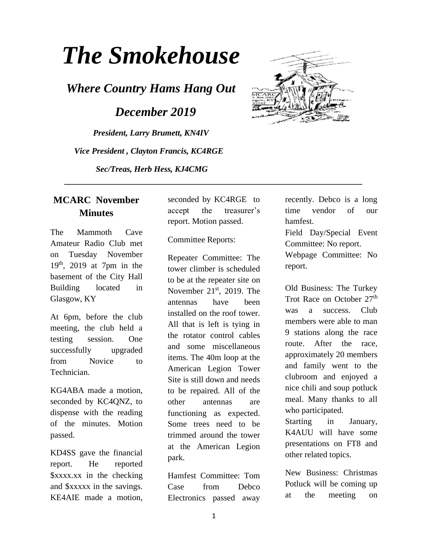# *The Smokehouse*

*Where Country Hams Hang Out*

 *December 2019*

*President, Larry Brumett, KN4IV Vice President , Clayton Francis, KC4RGE Sec/Treas, Herb Hess, KJ4CMG*



The Mammoth Cave Amateur Radio Club met on Tuesday November  $19<sup>th</sup>$ , 2019 at 7pm in the basement of the City Hall Building located in Glasgow, KY

At 6pm, before the club meeting, the club held a testing session. One successfully upgraded from Novice to Technician.

KG4ABA made a motion, seconded by KC4QNZ, to dispense with the reading of the minutes. Motion passed.

KD4SS gave the financial report. He reported \$xxxx.xx in the checking and \$xxxxx in the savings. KE4AIE made a motion,

seconded by KC4RGE to accept the treasurer's report. Motion passed.

 **\_\_\_\_\_\_\_\_\_\_\_\_\_\_\_\_\_\_\_\_\_\_\_\_\_\_\_\_\_\_\_\_\_\_\_\_\_\_\_\_\_\_\_\_\_\_\_\_\_\_\_\_\_\_\_\_\_\_\_\_\_\_\_\_\_\_\_\_\_\_\_**

Committee Reports:

Repeater Committee: The tower climber is scheduled to be at the repeater site on November  $21<sup>st</sup>$ , 2019. The antennas have been installed on the roof tower. All that is left is tying in the rotator control cables and some miscellaneous items. The 40m loop at the American Legion Tower Site is still down and needs to be repaired. All of the other antennas are functioning as expected. Some trees need to be trimmed around the tower at the American Legion park.

Hamfest Committee: Tom Case from Debco Electronics passed away



recently. Debco is a long time vendor of our hamfest.

Field Day/Special Event Committee: No report. Webpage Committee: No report.

Old Business: The Turkey Trot Race on October 27<sup>th</sup> was a success. Club members were able to man 9 stations along the race route. After the race, approximately 20 members and family went to the clubroom and enjoyed a nice chili and soup potluck meal. Many thanks to all who participated.

Starting in January, K4AUU will have some presentations on FT8 and other related topics.

New Business: Christmas Potluck will be coming up at the meeting on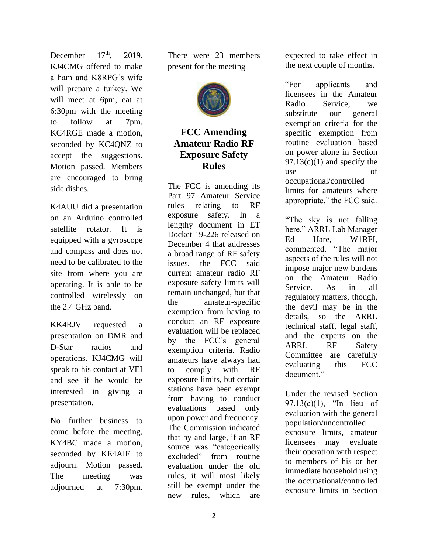December  $17<sup>th</sup>$  2019. KJ4CMG offered to make a ham and K8RPG's wife will prepare a turkey. We will meet at 6pm, eat at 6:30pm with the meeting to follow at 7pm. KC4RGE made a motion, seconded by KC4QNZ to accept the suggestions. Motion passed. Members are encouraged to bring side dishes.

K4AUU did a presentation on an Arduino controlled satellite rotator. It is equipped with a gyroscope and compass and does not need to be calibrated to the site from where you are operating. It is able to be controlled wirelessly on the 2.4 GHz band.

KK4RJV requested a presentation on DMR and D-Star radios and operations. KJ4CMG will speak to his contact at VEI and see if he would be interested in giving a presentation.

No further business to come before the meeting, KY4BC made a motion, seconded by KE4AIE to adjourn. Motion passed. The meeting was adjourned at 7:30pm.

There were 23 members present for the meeting



### **FCC Amending Amateur Radio RF Exposure Safety Rules**

The FCC is amending its Part 97 Amateur Service rules relating to RF exposure safety. In a [lengthy document](https://docs.fcc.gov/public/attachments/FCC-19-126A1.pdf) in ET Docket 19-226 released on December 4 that addresses a broad range of RF safety issues, the FCC said current amateur radio RF exposure safety limits will remain unchanged, but that the amateur-specific exemption from having to conduct an RF exposure evaluation will be replaced by the FCC's general exemption criteria. Radio amateurs have always had to comply with RF exposure limits, but certain stations have been exempt from having to conduct evaluations based only upon power and frequency. The Commission indicated that by and large, if an RF source was "categorically excluded" from routine evaluation under the old rules, it will most likely still be exempt under the new rules, which are expected to take effect in the next couple of months.

"For applicants and licensees in the Amateur Radio Service, we substitute our general exemption criteria for the specific exemption from routine evaluation based on power alone in Section  $97.13(c)(1)$  and specify the use of occupational/controlled limits for amateurs where appropriate," the FCC said.

"The sky is not falling here," ARRL Lab Manager Ed Hare, W1RFI, commented. "The major aspects of the rules will not impose major new burdens on the Amateur Radio Service. As in all regulatory matters, though, the devil may be in the details, so the ARRL technical staff, legal staff, and the experts on the ARRL RF Safety Committee are carefully evaluating this FCC document."

Under the revised Section 97.13(c)(1), "In lieu of evaluation with the general population/uncontrolled exposure limits, amateur licensees may evaluate their operation with respect to members of his or her immediate household using the occupational/controlled exposure limits in Section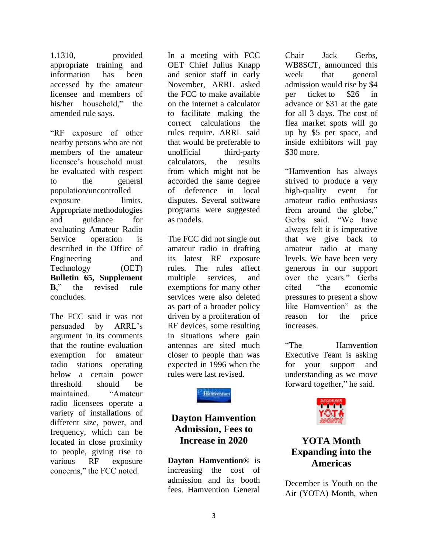1.1310, provided appropriate training and information has been accessed by the amateur licensee and members of his/her household," the amended rule says.

"RF exposure of other nearby persons who are not members of the amateur licensee's household must be evaluated with respect to the general population/uncontrolled exposure limits. Appropriate methodologies and guidance for evaluating Amateur Radio Service operation is described in the Office of Engineering and Technology (OET) **[Bulletin 65, Supplement](https://transition.fcc.gov/bureaus/oet/info/documents/bulletins/oet65/oet65b.pdf)  [B](https://transition.fcc.gov/bureaus/oet/info/documents/bulletins/oet65/oet65b.pdf)**," the revised rule concludes.

The FCC said it was not persuaded by ARRL's argument in its comments that the routine evaluation exemption for amateur radio stations operating below a certain power threshold should be maintained. "Amateur radio licensees operate a variety of installations of different size, power, and frequency, which can be located in close proximity to people, giving rise to various RF exposure concerns," the FCC noted.

In a meeting with FCC OET Chief Julius Knapp and senior staff in early November, ARRL asked the FCC to make available on the internet a calculator to facilitate making the correct calculations the rules require. ARRL said that would be preferable to unofficial third-party calculators, the results from which might not be accorded the same degree of deference in local disputes. Several software programs were suggested as models.

The FCC did not single out amateur radio in drafting its latest RF exposure rules. The rules affect multiple services, and exemptions for many other services were also deleted as part of a broader policy driven by a proliferation of RF devices, some resulting in situations where gain antennas are sited much closer to people than was expected in 1996 when the rules were last revised.

**Hamvention** 

## **Dayton Hamvention Admission, Fees to Increase in 2020**

**[Dayton Hamvention](http://www.hamvention.org/)**® is increasing the cost of admission and its booth fees. Hamvention General

Chair Jack Gerbs, WB8SCT, announced this week that general admission would rise by \$4 per ticket to \$26 in advance or \$31 at the gate for all 3 days. The cost of flea market spots will go up by \$5 per space, and inside exhibitors will pay \$30 more.

"Hamvention has always strived to produce a very high-quality event for amateur radio enthusiasts from around the globe," Gerbs said. "We have always felt it is imperative that we give back to amateur radio at many levels. We have been very generous in our support over the years." Gerbs cited "the economic pressures to present a show like Hamvention" as the reason for the price increases.

"The Hamvention Executive Team is asking for your support and understanding as we move forward together," he said.



### **YOTA Month Expanding into the Americas**

December is Youth on the Air (YOTA) Month, when